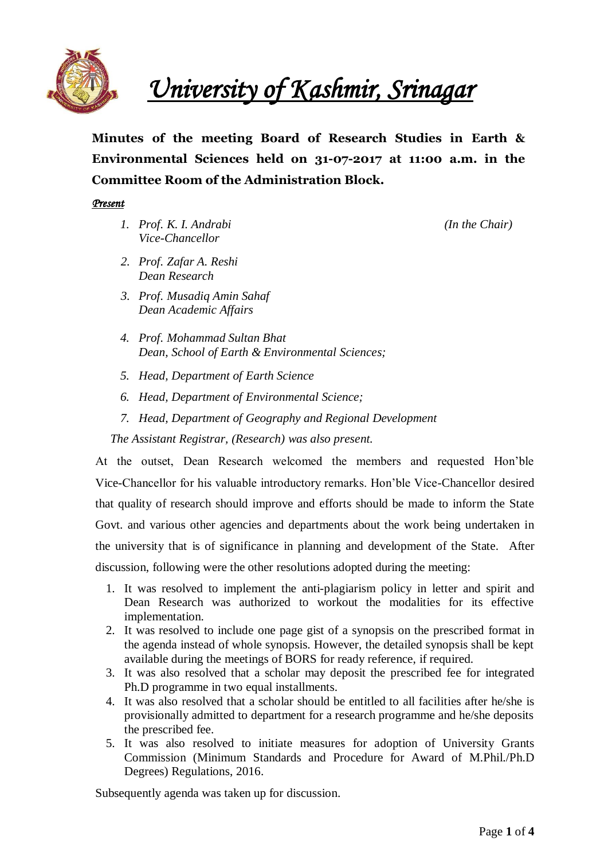

*University of Kashmir, Srinagar* 

**Minutes of the meeting Board of Research Studies in Earth & Environmental Sciences held on 31-07-2017 at 11:00 a.m. in the Committee Room of the Administration Block.**

#### *Present*

*1. Prof. K. I. Andrabi (In the Chair) Vice-Chancellor*

- *2. Prof. Zafar A. Reshi Dean Research*
- *3. Prof. Musadiq Amin Sahaf Dean Academic Affairs*
- *4. Prof. Mohammad Sultan Bhat Dean, School of Earth & Environmental Sciences;*
- *5. Head, Department of Earth Science*
- *6. Head, Department of Environmental Science;*
- *7. Head, Department of Geography and Regional Development*

*The Assistant Registrar, (Research) was also present.*

At the outset, Dean Research welcomed the members and requested Hon'ble Vice-Chancellor for his valuable introductory remarks. Hon'ble Vice-Chancellor desired that quality of research should improve and efforts should be made to inform the State Govt. and various other agencies and departments about the work being undertaken in the university that is of significance in planning and development of the State. After discussion, following were the other resolutions adopted during the meeting:

- 1. It was resolved to implement the anti-plagiarism policy in letter and spirit and Dean Research was authorized to workout the modalities for its effective implementation.
- 2. It was resolved to include one page gist of a synopsis on the prescribed format in the agenda instead of whole synopsis. However, the detailed synopsis shall be kept available during the meetings of BORS for ready reference, if required.
- 3. It was also resolved that a scholar may deposit the prescribed fee for integrated Ph.D programme in two equal installments.
- 4. It was also resolved that a scholar should be entitled to all facilities after he/she is provisionally admitted to department for a research programme and he/she deposits the prescribed fee.
- 5. It was also resolved to initiate measures for adoption of University Grants Commission (Minimum Standards and Procedure for Award of M.Phil./Ph.D Degrees) Regulations, 2016.

Subsequently agenda was taken up for discussion.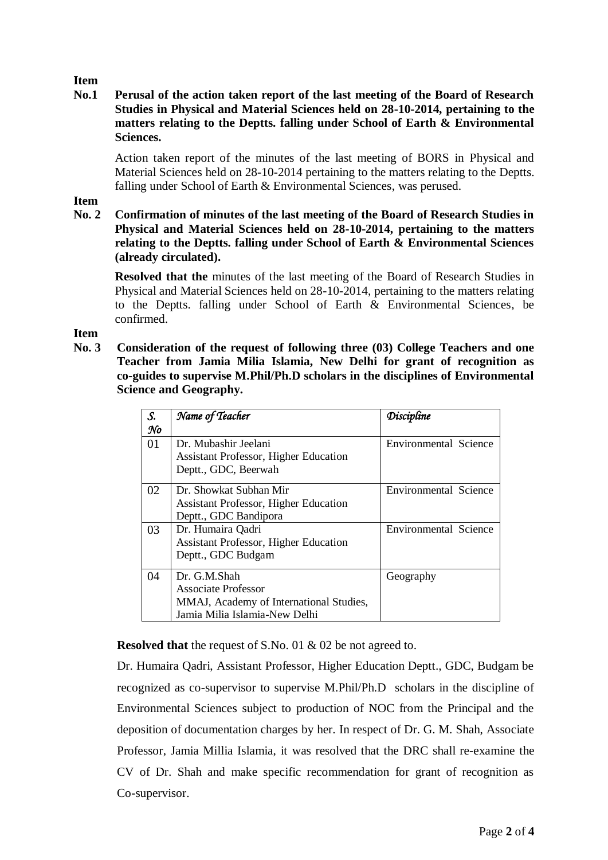# **Item**

# **No.1 Perusal of the action taken report of the last meeting of the Board of Research Studies in Physical and Material Sciences held on 28-10-2014, pertaining to the matters relating to the Deptts. falling under School of Earth & Environmental Sciences.**

Action taken report of the minutes of the last meeting of BORS in Physical and Material Sciences held on 28-10-2014 pertaining to the matters relating to the Deptts. falling under School of Earth & Environmental Sciences, was perused.

# **Item**

**No. 2 Confirmation of minutes of the last meeting of the Board of Research Studies in Physical and Material Sciences held on 28-10-2014, pertaining to the matters relating to the Deptts. falling under School of Earth & Environmental Sciences (already circulated).**

**Resolved that the** minutes of the last meeting of the Board of Research Studies in Physical and Material Sciences held on 28-10-2014, pertaining to the matters relating to the Deptts. falling under School of Earth & Environmental Sciences, be confirmed.

**Item** 

**No. 3 Consideration of the request of following three (03) College Teachers and one Teacher from Jamia Milia Islamia, New Delhi for grant of recognition as co-guides to supervise M.Phil/Ph.D scholars in the disciplines of Environmental Science and Geography.**

| S. | Name of Teacher                              | <i><b>Discipline</b></i>     |
|----|----------------------------------------------|------------------------------|
| No |                                              |                              |
| 01 | Dr. Mubashir Jeelani                         | Environmental Science        |
|    | <b>Assistant Professor, Higher Education</b> |                              |
|    | Deptt., GDC, Beerwah                         |                              |
| 02 | Dr. Showkat Subhan Mir                       | Environmental Science        |
|    | <b>Assistant Professor, Higher Education</b> |                              |
|    | Deptt., GDC Bandipora                        |                              |
| 03 | Dr. Humaira Qadri                            | <b>Environmental Science</b> |
|    | <b>Assistant Professor, Higher Education</b> |                              |
|    | Deptt., GDC Budgam                           |                              |
| 04 | Dr. G.M.Shah                                 | Geography                    |
|    | <b>Associate Professor</b>                   |                              |
|    | MMAJ, Academy of International Studies,      |                              |
|    | Jamia Milia Islamia-New Delhi                |                              |

**Resolved that** the request of S.No. 01 & 02 be not agreed to.

Dr. Humaira Qadri, Assistant Professor, Higher Education Deptt., GDC, Budgam be recognized as co-supervisor to supervise M.Phil/Ph.D scholars in the discipline of Environmental Sciences subject to production of NOC from the Principal and the deposition of documentation charges by her. In respect of Dr. G. M. Shah, Associate Professor, Jamia Millia Islamia, it was resolved that the DRC shall re-examine the CV of Dr. Shah and make specific recommendation for grant of recognition as Co-supervisor.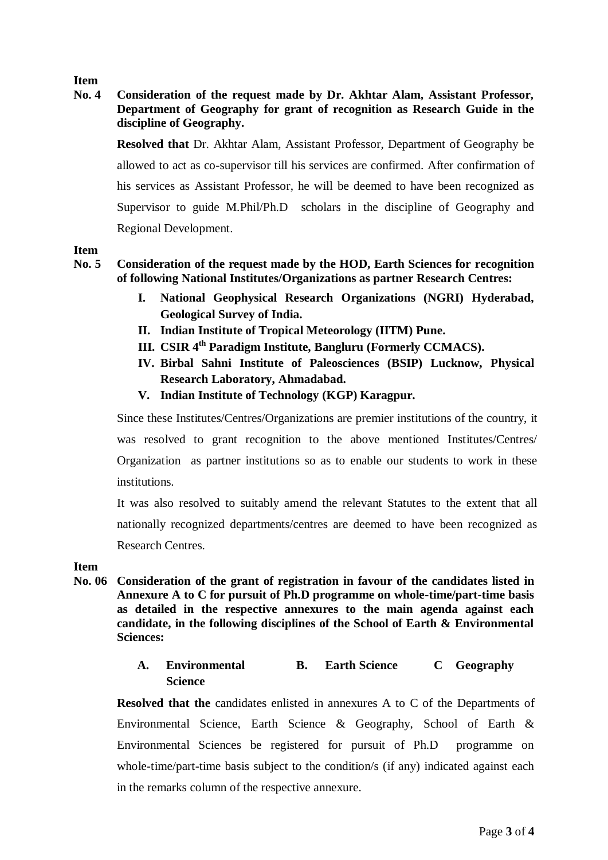# **Item**

# **No. 4 Consideration of the request made by Dr. Akhtar Alam, Assistant Professor, Department of Geography for grant of recognition as Research Guide in the discipline of Geography.**

**Resolved that** Dr. Akhtar Alam, Assistant Professor, Department of Geography be allowed to act as co-supervisor till his services are confirmed. After confirmation of his services as Assistant Professor, he will be deemed to have been recognized as Supervisor to guide M.Phil/Ph.D scholars in the discipline of Geography and Regional Development.

# **Item**

### **No. 5 Consideration of the request made by the HOD, Earth Sciences for recognition of following National Institutes/Organizations as partner Research Centres:**

- **I. National Geophysical Research Organizations (NGRI) Hyderabad, Geological Survey of India.**
- **II. Indian Institute of Tropical Meteorology (IITM) Pune.**
- **III. CSIR 4th Paradigm Institute, Bangluru (Formerly CCMACS).**
- **IV. Birbal Sahni Institute of Paleosciences (BSIP) Lucknow, Physical Research Laboratory, Ahmadabad.**
- **V. Indian Institute of Technology (KGP) Karagpur.**

Since these Institutes/Centres/Organizations are premier institutions of the country, it was resolved to grant recognition to the above mentioned Institutes/Centres/ Organization as partner institutions so as to enable our students to work in these institutions.

It was also resolved to suitably amend the relevant Statutes to the extent that all nationally recognized departments/centres are deemed to have been recognized as Research Centres.

#### **Item**

**No. 06 Consideration of the grant of registration in favour of the candidates listed in Annexure A to C for pursuit of Ph.D programme on whole-time/part-time basis as detailed in the respective annexures to the main agenda against each candidate, in the following disciplines of the School of Earth & Environmental Sciences:**

#### **A. Environmental Science B. Earth Science C Geography**

**Resolved that the** candidates enlisted in annexures A to C of the Departments of Environmental Science, Earth Science & Geography, School of Earth & Environmental Sciences be registered for pursuit of Ph.D programme on whole-time/part-time basis subject to the condition/s (if any) indicated against each in the remarks column of the respective annexure.